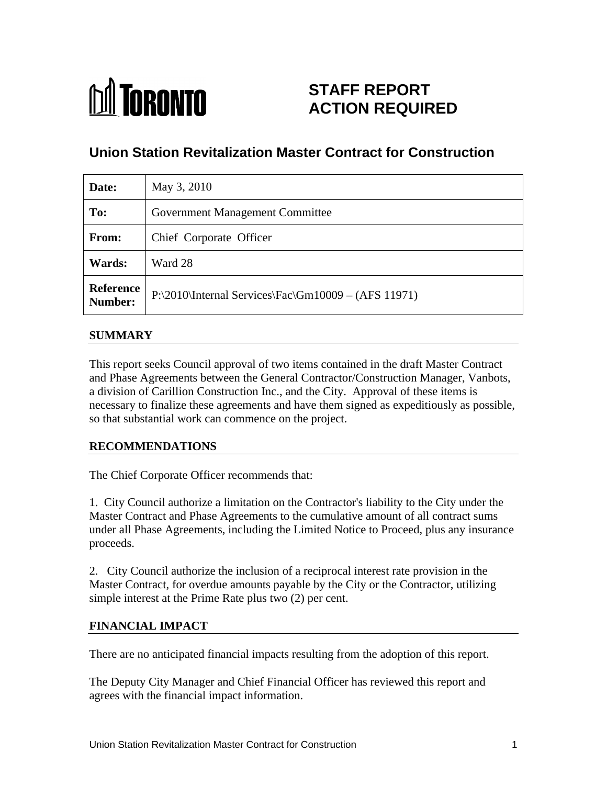# **M** TORONTO

## **STAFF REPORT ACTION REQUIRED**

### **Union Station Revitalization Master Contract for Construction**

| Date:                | May 3, 2010                                                      |
|----------------------|------------------------------------------------------------------|
| To:                  | Government Management Committee                                  |
| From:                | Chief Corporate Officer                                          |
| <b>Wards:</b>        | Ward 28                                                          |
| Reference<br>Number: | $\sqrt{P}$   P:\2010\Internal Services\Fac\Gm10009 – (AFS 11971) |

#### **SUMMARY**

This report seeks Council approval of two items contained in the draft Master Contract and Phase Agreements between the General Contractor/Construction Manager, Vanbots, a division of Carillion Construction Inc., and the City. Approval of these items is necessary to finalize these agreements and have them signed as expeditiously as possible, so that substantial work can commence on the project.

#### **RECOMMENDATIONS**

The Chief Corporate Officer recommends that:

1. City Council authorize a limitation on the Contractor's liability to the City under the Master Contract and Phase Agreements to the cumulative amount of all contract sums under all Phase Agreements, including the Limited Notice to Proceed, plus any insurance proceeds.

2. City Council authorize the inclusion of a reciprocal interest rate provision in the Master Contract, for overdue amounts payable by the City or the Contractor, utilizing simple interest at the Prime Rate plus two (2) per cent.

#### **FINANCIAL IMPACT**

There are no anticipated financial impacts resulting from the adoption of this report.

The Deputy City Manager and Chief Financial Officer has reviewed this report and agrees with the financial impact information.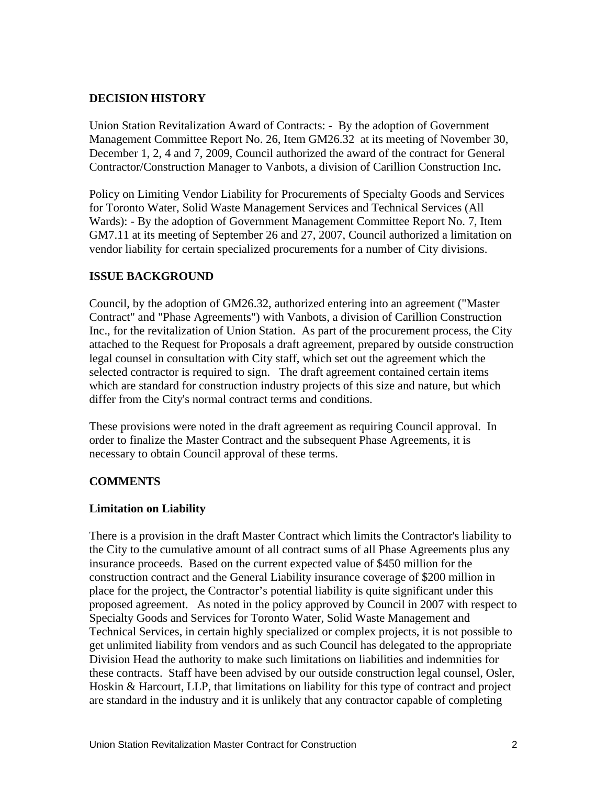#### **DECISION HISTORY**

Union Station Revitalization Award of Contracts: - By the adoption of Government Management Committee Report No. 26, Item GM26.32 at its meeting of November 30, December 1, 2, 4 and 7, 2009, Council authorized the award of the contract for General Contractor/Construction Manager to Vanbots, a division of Carillion Construction Inc**.**

Policy on Limiting Vendor Liability for Procurements of Specialty Goods and Services for Toronto Water, Solid Waste Management Services and Technical Services (All Wards): - By the adoption of Government Management Committee Report No. 7, Item GM7.11 at its meeting of September 26 and 27, 2007, Council authorized a limitation on vendor liability for certain specialized procurements for a number of City divisions.

#### **ISSUE BACKGROUND**

Council, by the adoption of GM26.32, authorized entering into an agreement ("Master Contract" and "Phase Agreements") with Vanbots, a division of Carillion Construction Inc., for the revitalization of Union Station. As part of the procurement process, the City attached to the Request for Proposals a draft agreement, prepared by outside construction legal counsel in consultation with City staff, which set out the agreement which the selected contractor is required to sign. The draft agreement contained certain items which are standard for construction industry projects of this size and nature, but which differ from the City's normal contract terms and conditions.

These provisions were noted in the draft agreement as requiring Council approval. In order to finalize the Master Contract and the subsequent Phase Agreements, it is necessary to obtain Council approval of these terms.

#### **COMMENTS**

#### **Limitation on Liability**

There is a provision in the draft Master Contract which limits the Contractor's liability to the City to the cumulative amount of all contract sums of all Phase Agreements plus any insurance proceeds. Based on the current expected value of \$450 million for the construction contract and the General Liability insurance coverage of \$200 million in place for the project, the Contractor's potential liability is quite significant under this proposed agreement. As noted in the policy approved by Council in 2007 with respect to Specialty Goods and Services for Toronto Water, Solid Waste Management and Technical Services, in certain highly specialized or complex projects, it is not possible to get unlimited liability from vendors and as such Council has delegated to the appropriate Division Head the authority to make such limitations on liabilities and indemnities for these contracts. Staff have been advised by our outside construction legal counsel, Osler, Hoskin & Harcourt, LLP, that limitations on liability for this type of contract and project are standard in the industry and it is unlikely that any contractor capable of completing